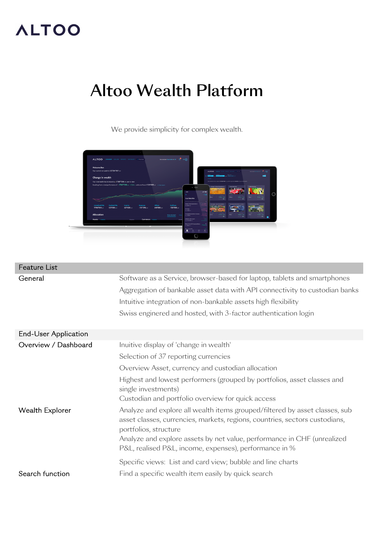## **ALTOO**

## Altoo Wealth Platform

We provide simplicity for complex wealth.



| Feature List         |                                                                                                                                                                                                                                                                                                                                                                                        |
|----------------------|----------------------------------------------------------------------------------------------------------------------------------------------------------------------------------------------------------------------------------------------------------------------------------------------------------------------------------------------------------------------------------------|
| General              | Software as a Service, browser-based for laptop, tablets and smartphones<br>Aggregation of bankable asset data with API connectivity to custodian banks<br>Intuitive integration of non-bankable assets high flexibility<br>Swiss enginered and hosted, with 3-factor authentication login                                                                                             |
| End-User Application |                                                                                                                                                                                                                                                                                                                                                                                        |
| Overview / Dashboard | Inuitive display of 'change in wealth'<br>Selection of 37 reporting currencies<br>Overview Asset, currency and custodian allocation<br>Highest and lowest performers (grouped by portfolios, asset classes and<br>single investments)<br>Custodian and portfolio overview for quick access                                                                                             |
| Wealth Explorer      | Analyze and explore all wealth items grouped/filtered by asset classes, sub<br>asset classes, currencies, markets, regions, countries, sectors custodians,<br>portfolios, structure<br>Analyze and explore assets by net value, performance in CHF (unrealized<br>P&L, realised P&L, income, expenses), performance in %<br>Specific views: List and card view; bubble and line charts |
| Search function      | Find a specific wealth item easily by quick search                                                                                                                                                                                                                                                                                                                                     |